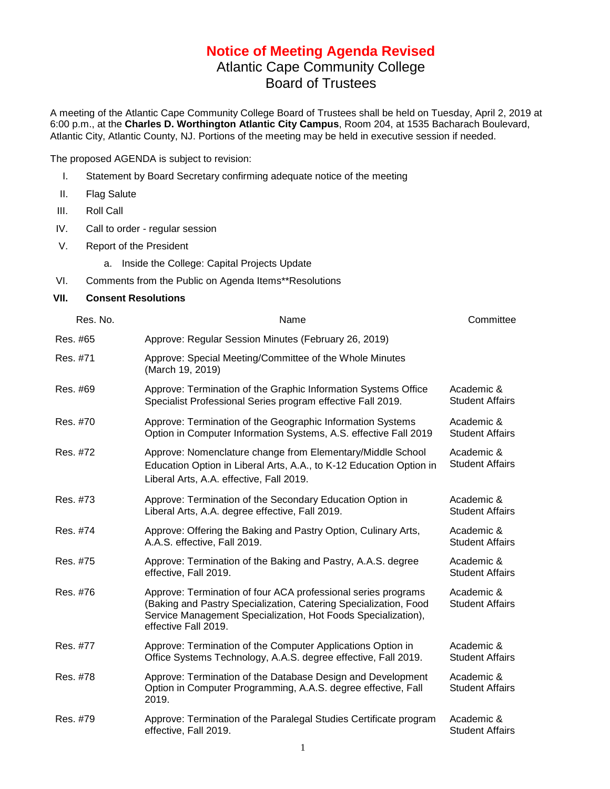## **Notice of Meeting Agenda Revised** Atlantic Cape Community College

Board of Trustees

A meeting of the Atlantic Cape Community College Board of Trustees shall be held on Tuesday, April 2, 2019 at 6:00 p.m., at the **Charles D. Worthington Atlantic City Campus**, Room 204, at 1535 Bacharach Boulevard, Atlantic City, Atlantic County, NJ. Portions of the meeting may be held in executive session if needed.

The proposed AGENDA is subject to revision:

- I. Statement by Board Secretary confirming adequate notice of the meeting
- II. Flag Salute
- III. Roll Call
- IV. Call to order regular session
- V. Report of the President

a. Inside the College: Capital Projects Update

- VI. Comments from the Public on Agenda Items\*\*Resolutions
- **VII. Consent Resolutions**

| Res. No. | Name                                                                                                                                                                                                                       | Committee                            |
|----------|----------------------------------------------------------------------------------------------------------------------------------------------------------------------------------------------------------------------------|--------------------------------------|
| Res. #65 | Approve: Regular Session Minutes (February 26, 2019)                                                                                                                                                                       |                                      |
| Res. #71 | Approve: Special Meeting/Committee of the Whole Minutes<br>(March 19, 2019)                                                                                                                                                |                                      |
| Res. #69 | Approve: Termination of the Graphic Information Systems Office<br>Specialist Professional Series program effective Fall 2019.                                                                                              | Academic &<br><b>Student Affairs</b> |
| Res. #70 | Approve: Termination of the Geographic Information Systems<br>Option in Computer Information Systems, A.S. effective Fall 2019                                                                                             | Academic &<br><b>Student Affairs</b> |
| Res. #72 | Approve: Nomenclature change from Elementary/Middle School<br>Education Option in Liberal Arts, A.A., to K-12 Education Option in<br>Liberal Arts, A.A. effective, Fall 2019.                                              | Academic &<br><b>Student Affairs</b> |
| Res. #73 | Approve: Termination of the Secondary Education Option in<br>Liberal Arts, A.A. degree effective, Fall 2019.                                                                                                               | Academic &<br><b>Student Affairs</b> |
| Res. #74 | Approve: Offering the Baking and Pastry Option, Culinary Arts,<br>A.A.S. effective, Fall 2019.                                                                                                                             | Academic &<br><b>Student Affairs</b> |
| Res. #75 | Approve: Termination of the Baking and Pastry, A.A.S. degree<br>effective, Fall 2019.                                                                                                                                      | Academic &<br><b>Student Affairs</b> |
| Res. #76 | Approve: Termination of four ACA professional series programs<br>(Baking and Pastry Specialization, Catering Specialization, Food<br>Service Management Specialization, Hot Foods Specialization),<br>effective Fall 2019. | Academic &<br><b>Student Affairs</b> |
| Res. #77 | Approve: Termination of the Computer Applications Option in<br>Office Systems Technology, A.A.S. degree effective, Fall 2019.                                                                                              | Academic &<br><b>Student Affairs</b> |
| Res. #78 | Approve: Termination of the Database Design and Development<br>Option in Computer Programming, A.A.S. degree effective, Fall<br>2019.                                                                                      | Academic &<br><b>Student Affairs</b> |
| Res. #79 | Approve: Termination of the Paralegal Studies Certificate program<br>effective, Fall 2019.                                                                                                                                 | Academic &<br><b>Student Affairs</b> |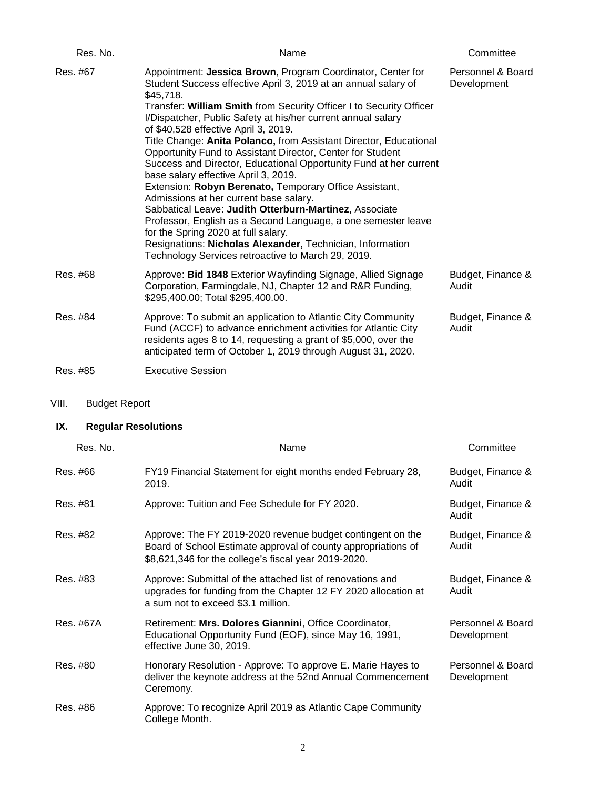| Res. No. | Name                                                                                                                                                                                                                                                                                                                                                                                                                                                                                                                                                                                                                                                                                                                                                                                                                                                                                                                                                               | Committee                        |
|----------|--------------------------------------------------------------------------------------------------------------------------------------------------------------------------------------------------------------------------------------------------------------------------------------------------------------------------------------------------------------------------------------------------------------------------------------------------------------------------------------------------------------------------------------------------------------------------------------------------------------------------------------------------------------------------------------------------------------------------------------------------------------------------------------------------------------------------------------------------------------------------------------------------------------------------------------------------------------------|----------------------------------|
| Res. #67 | Appointment: Jessica Brown, Program Coordinator, Center for<br>Student Success effective April 3, 2019 at an annual salary of<br>\$45,718.<br>Transfer: William Smith from Security Officer I to Security Officer<br>I/Dispatcher, Public Safety at his/her current annual salary<br>of \$40,528 effective April 3, 2019.<br>Title Change: Anita Polanco, from Assistant Director, Educational<br>Opportunity Fund to Assistant Director, Center for Student<br>Success and Director, Educational Opportunity Fund at her current<br>base salary effective April 3, 2019.<br>Extension: Robyn Berenato, Temporary Office Assistant,<br>Admissions at her current base salary.<br>Sabbatical Leave: Judith Otterburn-Martinez, Associate<br>Professor, English as a Second Language, a one semester leave<br>for the Spring 2020 at full salary.<br>Resignations: Nicholas Alexander, Technician, Information<br>Technology Services retroactive to March 29, 2019. | Personnel & Board<br>Development |
| Res. #68 | Approve: Bid 1848 Exterior Wayfinding Signage, Allied Signage<br>Corporation, Farmingdale, NJ, Chapter 12 and R&R Funding,<br>\$295,400.00; Total \$295,400.00.                                                                                                                                                                                                                                                                                                                                                                                                                                                                                                                                                                                                                                                                                                                                                                                                    | Budget, Finance &<br>Audit       |
| Res. #84 | Approve: To submit an application to Atlantic City Community<br>Fund (ACCF) to advance enrichment activities for Atlantic City<br>residents ages 8 to 14, requesting a grant of \$5,000, over the<br>anticipated term of October 1, 2019 through August 31, 2020.                                                                                                                                                                                                                                                                                                                                                                                                                                                                                                                                                                                                                                                                                                  | Budget, Finance &<br>Audit       |
| Res. #85 | <b>Executive Session</b>                                                                                                                                                                                                                                                                                                                                                                                                                                                                                                                                                                                                                                                                                                                                                                                                                                                                                                                                           |                                  |

VIII. Budget Report

## **IX. Regular Resolutions**

|           | Res. No. | Name                                                                                                                                                                                | Committee                        |
|-----------|----------|-------------------------------------------------------------------------------------------------------------------------------------------------------------------------------------|----------------------------------|
| Res. #66  |          | FY19 Financial Statement for eight months ended February 28,<br>2019.                                                                                                               | Budget, Finance &<br>Audit       |
| Res. #81  |          | Approve: Tuition and Fee Schedule for FY 2020.                                                                                                                                      | Budget, Finance &<br>Audit       |
| Res. #82  |          | Approve: The FY 2019-2020 revenue budget contingent on the<br>Board of School Estimate approval of county appropriations of<br>\$8,621,346 for the college's fiscal year 2019-2020. | Budget, Finance &<br>Audit       |
| Res. #83  |          | Approve: Submittal of the attached list of renovations and<br>upgrades for funding from the Chapter 12 FY 2020 allocation at<br>a sum not to exceed \$3.1 million.                  | Budget, Finance &<br>Audit       |
| Res. #67A |          | Retirement: Mrs. Dolores Giannini, Office Coordinator,<br>Educational Opportunity Fund (EOF), since May 16, 1991,<br>effective June 30, 2019.                                       | Personnel & Board<br>Development |
| Res. #80  |          | Honorary Resolution - Approve: To approve E. Marie Hayes to<br>deliver the keynote address at the 52nd Annual Commencement<br>Ceremony.                                             | Personnel & Board<br>Development |
| Res. #86  |          | Approve: To recognize April 2019 as Atlantic Cape Community<br>College Month.                                                                                                       |                                  |